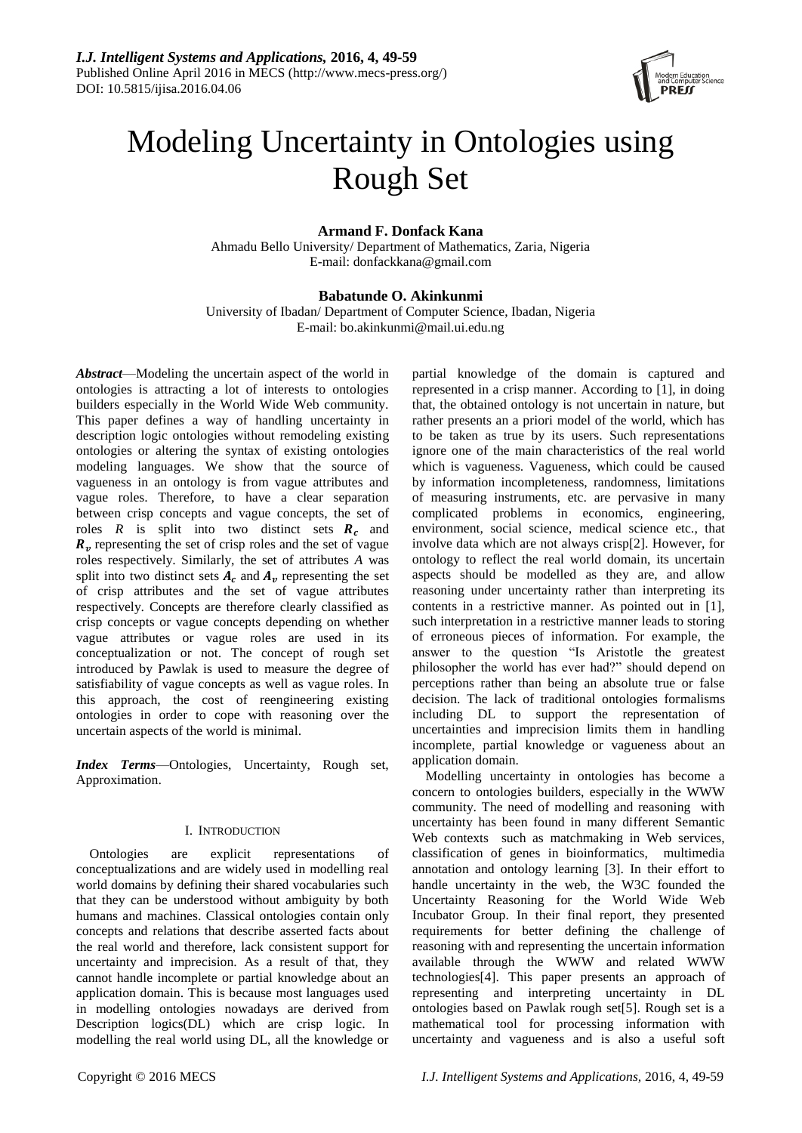

# Modeling Uncertainty in Ontologies using Rough Set

# **Armand F. Donfack Kana**

Ahmadu Bello University/ Department of Mathematics, Zaria, Nigeria E-mail: donfackkana@gmail.com

## **Babatunde O. Akinkunmi**

University of Ibadan/ Department of Computer Science, Ibadan, Nigeria E-mail: bo.akinkunmi@mail.ui.edu.ng

*Abstract*—Modeling the uncertain aspect of the world in ontologies is attracting a lot of interests to ontologies builders especially in the World Wide Web community. This paper defines a way of handling uncertainty in description logic ontologies without remodeling existing ontologies or altering the syntax of existing ontologies modeling languages. We show that the source of vagueness in an ontology is from vague attributes and vague roles. Therefore, to have a clear separation between crisp concepts and vague concepts, the set of roles  $R$  is split into two distinct sets  $R_c$  and  $R<sub>v</sub>$  representing the set of crisp roles and the set of vague roles respectively. Similarly, the set of attributes *A* was split into two distinct sets  $A_c$  and  $A_v$  representing the set of crisp attributes and the set of vague attributes respectively. Concepts are therefore clearly classified as crisp concepts or vague concepts depending on whether vague attributes or vague roles are used in its conceptualization or not. The concept of rough set introduced by Pawlak is used to measure the degree of satisfiability of vague concepts as well as vague roles. In this approach, the cost of reengineering existing ontologies in order to cope with reasoning over the uncertain aspects of the world is minimal.

*Index Terms*—Ontologies, Uncertainty, Rough set, Approximation.

## I. INTRODUCTION

Ontologies are explicit representations of conceptualizations and are widely used in modelling real world domains by defining their shared vocabularies such that they can be understood without ambiguity by both humans and machines. Classical ontologies contain only concepts and relations that describe asserted facts about the real world and therefore, lack consistent support for uncertainty and imprecision. As a result of that, they cannot handle incomplete or partial knowledge about an application domain. This is because most languages used in modelling ontologies nowadays are derived from Description logics(DL) which are crisp logic. In modelling the real world using DL, all the knowledge or

partial knowledge of the domain is captured and represented in a crisp manner. According to [1], in doing that, the obtained ontology is not uncertain in nature, but rather presents an a priori model of the world, which has to be taken as true by its users. Such representations ignore one of the main characteristics of the real world which is vagueness. Vagueness, which could be caused by information incompleteness, randomness, limitations of measuring instruments, etc. are pervasive in many complicated problems in economics, engineering, environment, social science, medical science etc., that involve data which are not always crisp[2]. However, for ontology to reflect the real world domain, its uncertain aspects should be modelled as they are, and allow reasoning under uncertainty rather than interpreting its contents in a restrictive manner. As pointed out in [1], such interpretation in a restrictive manner leads to storing of erroneous pieces of information. For example, the answer to the question "Is Aristotle the greatest philosopher the world has ever had?" should depend on perceptions rather than being an absolute true or false decision. The lack of traditional ontologies formalisms including DL to support the representation of uncertainties and imprecision limits them in handling incomplete, partial knowledge or vagueness about an application domain.

Modelling uncertainty in ontologies has become a concern to ontologies builders, especially in the WWW community. The need of modelling and reasoning with uncertainty has been found in many different Semantic Web contexts such as matchmaking in Web services, classification of genes in bioinformatics, multimedia annotation and ontology learning [3]. In their effort to handle uncertainty in the web, the W3C founded the Uncertainty Reasoning for the World Wide Web Incubator Group. In their final report, they presented requirements for better defining the challenge of reasoning with and representing the uncertain information available through the WWW and related WWW technologies[4]. This paper presents an approach of representing and interpreting uncertainty in DL ontologies based on Pawlak rough set[5]. Rough set is a mathematical tool for processing information with uncertainty and vagueness and is also a useful soft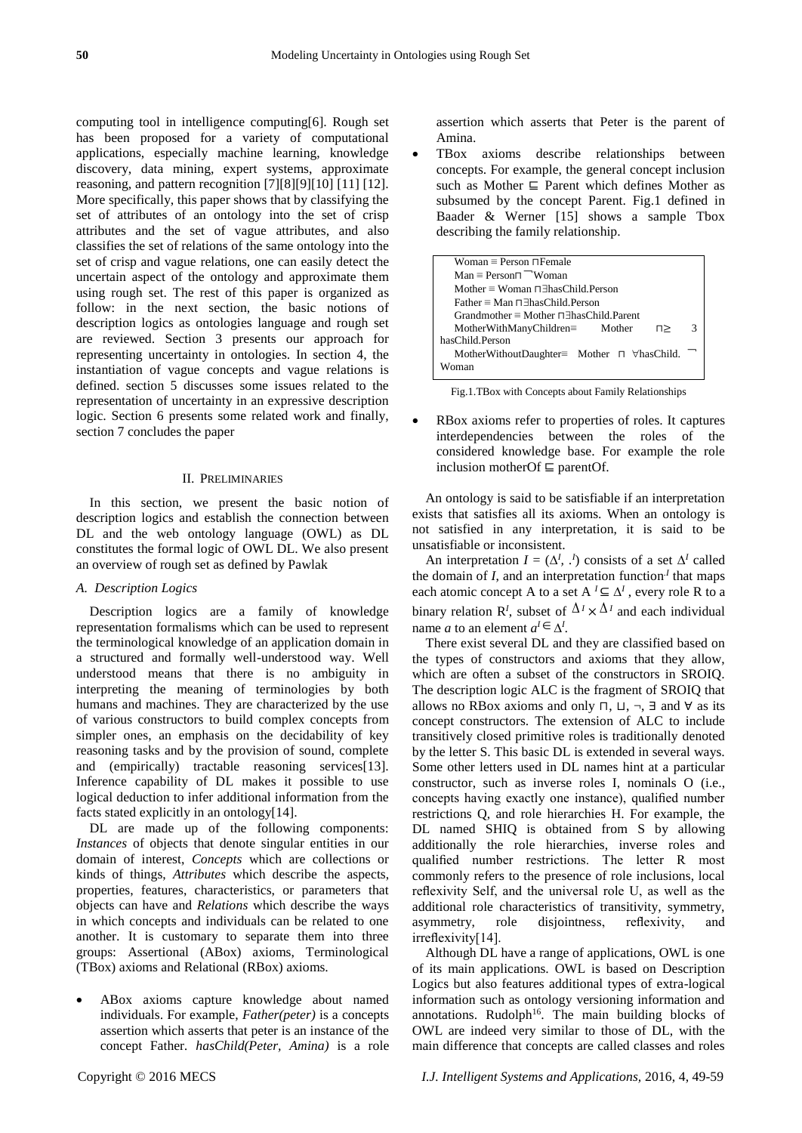computing tool in intelligence computing[6]. Rough set has been proposed for a variety of computational applications, especially machine learning, knowledge discovery, data mining, expert systems, approximate reasoning, and pattern recognition [7][8][9][10] [11] [12]. More specifically, this paper shows that by classifying the set of attributes of an ontology into the set of crisp attributes and the set of vague attributes, and also classifies the set of relations of the same ontology into the set of crisp and vague relations, one can easily detect the uncertain aspect of the ontology and approximate them using rough set. The rest of this paper is organized as follow: in the next section, the basic notions of description logics as ontologies language and rough set are reviewed. Section 3 presents our approach for representing uncertainty in ontologies. In section 4, the instantiation of vague concepts and vague relations is defined. section 5 discusses some issues related to the representation of uncertainty in an expressive description logic. Section 6 presents some related work and finally, section 7 concludes the paper

### II. PRELIMINARIES

In this section, we present the basic notion of description logics and establish the connection between DL and the web ontology language (OWL) as DL constitutes the formal logic of OWL DL. We also present an overview of rough set as defined by Pawlak

## *A. Description Logics*

Description logics are a family of knowledge representation formalisms which can be used to represent the terminological knowledge of an application domain in a structured and formally well-understood way. Well understood means that there is no ambiguity in interpreting the meaning of terminologies by both humans and machines. They are characterized by the use of various constructors to build complex concepts from simpler ones, an emphasis on the decidability of key reasoning tasks and by the provision of sound, complete and (empirically) tractable reasoning services[13]. Inference capability of DL makes it possible to use logical deduction to infer additional information from the facts stated explicitly in an ontology[14].

DL are made up of the following components: *Instances* of objects that denote singular entities in our domain of interest, *Concepts* which are collections or kinds of things, *Attributes* which describe the aspects, properties, features, characteristics, or parameters that objects can have and *Relations* which describe the ways in which concepts and individuals can be related to one another. It is customary to separate them into three groups: Assertional (ABox) axioms, Terminological (TBox) axioms and Relational (RBox) axioms.

 ABox axioms capture knowledge about named individuals. For example, *Father(peter)* is a concepts assertion which asserts that peter is an instance of the concept Father*. hasChild(Peter, Amina)* is a role

assertion which asserts that Peter is the parent of Amina.

 TBox axioms describe relationships between concepts. For example, the general concept inclusion such as Mother ⊑ Parent which defines Mother as subsumed by the concept Parent. Fig.1 defined in Baader & Werner [15] shows a sample Tbox describing the family relationship.

| Woman $\equiv$ Person $\Box$ Female                        |   |  |  |  |
|------------------------------------------------------------|---|--|--|--|
| $Man \equiv Person \sqcap \sqcap W$ oman                   |   |  |  |  |
| Mother $\equiv$ Woman $\Box$ Thas Child Person             |   |  |  |  |
| Father $\equiv$ Man $\Box$ Thas Child Person               |   |  |  |  |
| $Grandmother \equiv Mother \sqcap \exists hasChild.Parent$ |   |  |  |  |
| $MotherWithManyChildren = Mother$<br>п>                    | 3 |  |  |  |
| hasChild.Person                                            |   |  |  |  |
| MotherWithoutDaughter= Mother $\sqcap$ $\forall$ hasChild. |   |  |  |  |
| Woman                                                      |   |  |  |  |

Fig.1.TBox with Concepts about Family Relationships

 RBox axioms refer to properties of roles. It captures interdependencies between the roles of the considered knowledge base. For example the role inclusion motherOf ⊑ parentOf.

An ontology is said to be satisfiable if an interpretation exists that satisfies all its axioms. When an ontology is not satisfied in any interpretation, it is said to be unsatisfiable or inconsistent.

An interpretation  $I = (\Delta^I, \cdot^I)$  consists of a set  $\Delta^I$  called the domain of  $I$ , and an interpretation function<sup> $I$ </sup> that maps each atomic concept A to a set  $A^I \subseteq \Delta^I$ , every role R to a binary relation  $\mathbb{R}^I$ , subset of  $\Delta^I \times \Delta^I$  and each individual name *a* to an element  $a^I \in \Delta^I$ .

There exist several DL and they are classified based on the types of constructors and axioms that they allow, which are often a subset of the constructors in SROIQ. The description logic ALC is the fragment of SROIQ that allows no RBox axioms and only  $\sqcap$ ,  $\sqcup$ ,  $\neg$ ,  $\exists$  and  $\forall$  as its concept constructors. The extension of ALC to include transitively closed primitive roles is traditionally denoted by the letter S. This basic DL is extended in several ways. Some other letters used in DL names hint at a particular constructor, such as inverse roles I, nominals O (i.e., concepts having exactly one instance), qualified number restrictions Q, and role hierarchies H. For example, the DL named SHIQ is obtained from S by allowing additionally the role hierarchies, inverse roles and qualified number restrictions. The letter R most commonly refers to the presence of role inclusions, local reflexivity Self, and the universal role U, as well as the additional role characteristics of transitivity, symmetry, asymmetry, role disjointness, reflexivity, and irreflexivity[14].

Although DL have a range of applications, OWL is one of its main applications. OWL is based on Description Logics but also features additional types of extra-logical information such as ontology versioning information and annotations. Rudolph<sup>16</sup>. The main building blocks of OWL are indeed very similar to those of DL, with the main difference that concepts are called classes and roles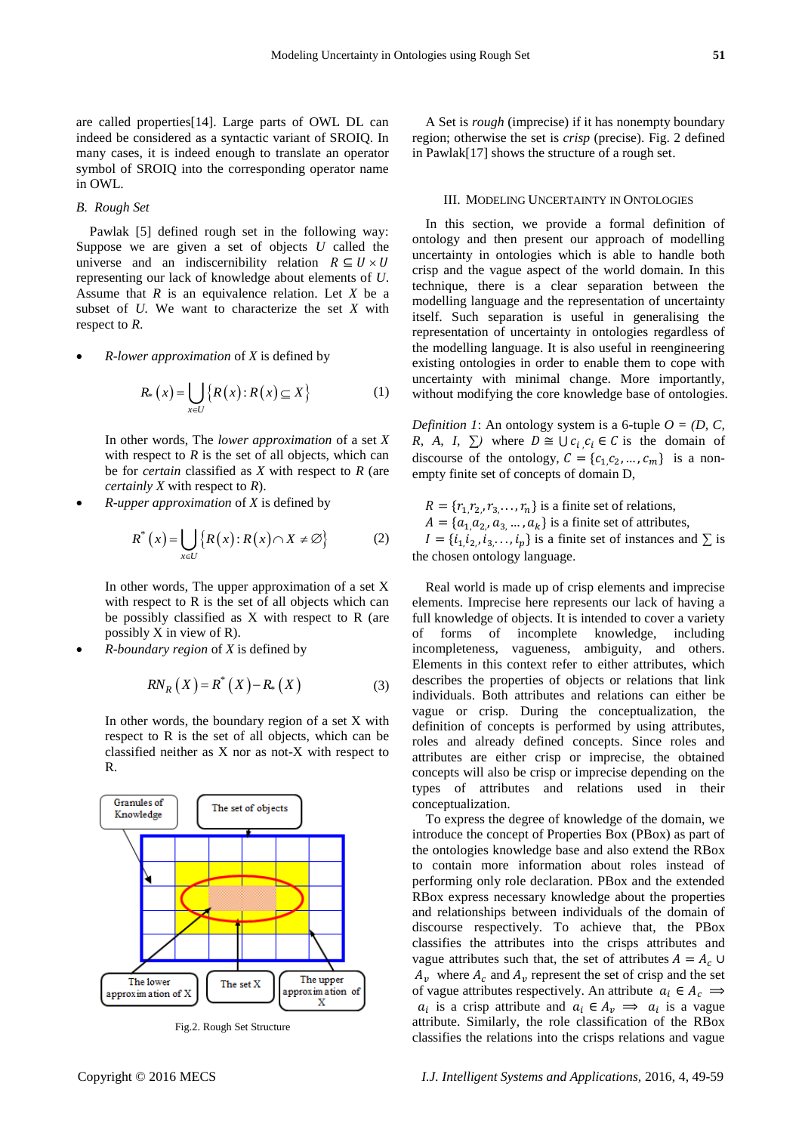are called properties[14]. Large parts of OWL DL can indeed be considered as a syntactic variant of SROIQ. In many cases, it is indeed enough to translate an operator symbol of SROIQ into the corresponding operator name in OWL.

## *B. Rough Set*

Pawlak [5] defined rough set in the following way: Suppose we are given a set of objects *U* called the universe and an indiscernibility relation  $R \subseteq U \times U$ representing our lack of knowledge about elements of *U*. Assume that *R* is an equivalence relation. Let *X* be a subset of *U.* We want to characterize the set *X* with respect to *R*.

*R*-*lower approximation* of *X* is defined by

$$
R_*\left(x\right) = \bigcup_{x \in U} \left\{ R\left(x\right) : R\left(x\right) \subseteq X \right\} \tag{1}
$$

In other words, The *lower approximation* of a set *X* with respect to  $R$  is the set of all objects, which can be for *certain* classified as *X* with respect to *R* (are *certainly X* with respect to *R*).

*R*-*upper approximation* of *X* is defined by

$$
R^*(x) = \bigcup_{x \in U} \{ R(x) : R(x) \cap X \neq \varnothing \}
$$
 (2)

In other words, The upper approximation of a set X with respect to R is the set of all objects which can be possibly classified as X with respect to R (are possibly X in view of R).

*R*-*boundary region* of *X* is defined by

$$
RN_{R}\left(X\right) = R^{*}\left(X\right) - R_{*}\left(X\right) \tag{3}
$$

In other words, the boundary region of a set X with respect to R is the set of all objects, which can be classified neither as X nor as not-X with respect to R.



Fig.2. Rough Set Structure

A Set is *rough* (imprecise) if it has nonempty boundary region; otherwise the set is *crisp* (precise). Fig. 2 defined in Pawlak[17] shows the structure of a rough set.

#### III. MODELING UNCERTAINTY IN ONTOLOGIES

In this section, we provide a formal definition of ontology and then present our approach of modelling uncertainty in ontologies which is able to handle both crisp and the vague aspect of the world domain. In this technique, there is a clear separation between the modelling language and the representation of uncertainty itself. Such separation is useful in generalising the representation of uncertainty in ontologies regardless of the modelling language. It is also useful in reengineering existing ontologies in order to enable them to cope with uncertainty with minimal change. More importantly, without modifying the core knowledge base of ontologies.

*Definition 1*: An ontology system is a 6-tuple  $O = (D, C, T)$ *R, A, I,*  $\sum$  where  $D \cong \bigcup c_i c_i \in C$  is the domain of discourse of the ontology,  $C = \{c_1, c_2, ..., c_m\}$  is a nonempty finite set of concepts of domain D,

 $R = \{r_1, r_2, r_3, \dots, r_n\}$  is a finite set of relations,  $A = \{a_{1}, a_{2}, a_{3}, \dots, a_{k}\}\$ is a finite set of attributes,  $I = \{i_1, i_2, i_3, \dots, i_p\}$  is a finite set of instances and  $\Sigma$  is the chosen ontology language.

Real world is made up of crisp elements and imprecise elements. Imprecise here represents our lack of having a full knowledge of objects. It is intended to cover a variety of forms of incomplete knowledge, including incompleteness, vagueness, ambiguity, and others. Elements in this context refer to either attributes, which describes the properties of objects or relations that link individuals. Both attributes and relations can either be vague or crisp. During the conceptualization, the definition of concepts is performed by using attributes, roles and already defined concepts. Since roles and attributes are either crisp or imprecise, the obtained concepts will also be crisp or imprecise depending on the types of attributes and relations used in their conceptualization.

To express the degree of knowledge of the domain, we introduce the concept of Properties Box (PBox) as part of the ontologies knowledge base and also extend the RBox to contain more information about roles instead of performing only role declaration. PBox and the extended RBox express necessary knowledge about the properties and relationships between individuals of the domain of discourse respectively. To achieve that, the PBox classifies the attributes into the crisps attributes and vague attributes such that, the set of attributes  $A = A_c \cup$  $A_v$  where  $A_c$  and  $A_v$  represent the set of crisp and the set of vague attributes respectively. An attribute  $a_i \in A_c$  $a_i$  is a crisp attribute and  $a_i \in A_v \implies a_i$  is a vague attribute. Similarly, the role classification of the RBox classifies the relations into the crisps relations and vague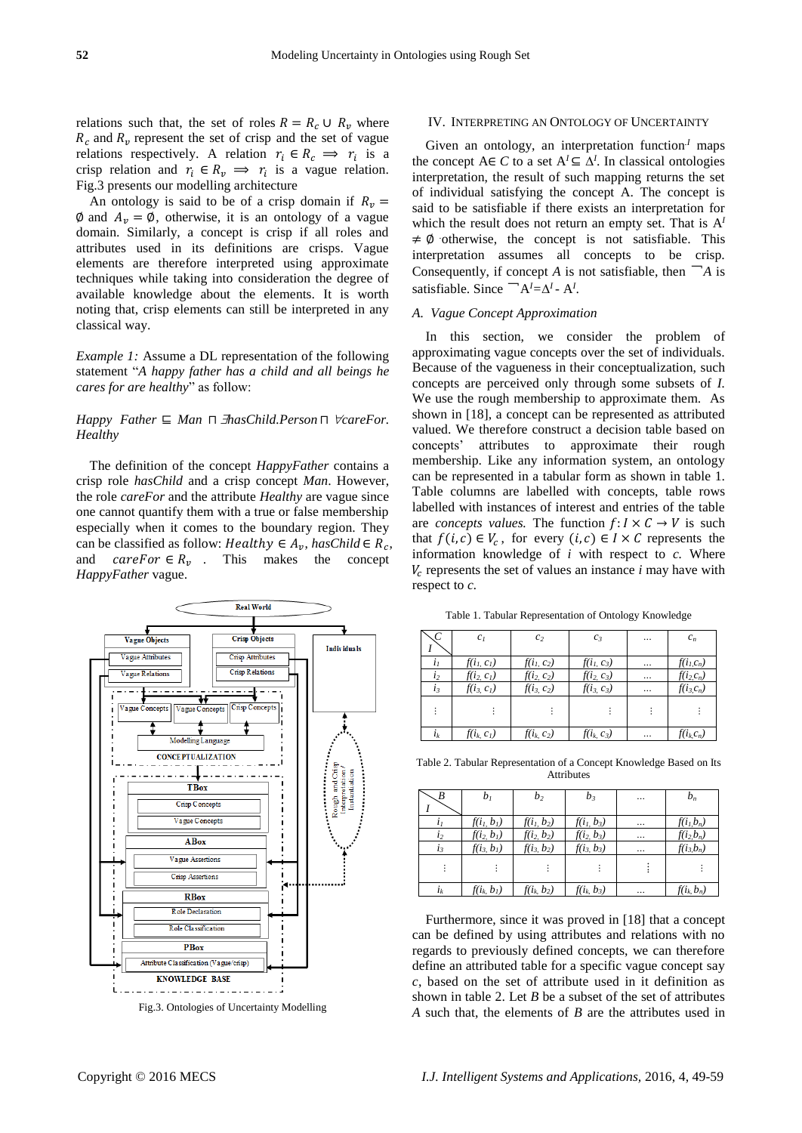relations such that, the set of roles  $R = R_c \cup R_v$  where  $R_c$  and  $R_v$  represent the set of crisp and the set of vague relations respectively. A relation  $r_i \in R_c \implies r_i$  is a crisp relation and  $r_i \in R_v \implies r_i$  is a vague relation. Fig.3 presents our modelling architecture

An ontology is said to be of a crisp domain if  $R_n =$  $\emptyset$  and  $A_n = \emptyset$ , otherwise, it is an ontology of a vague domain. Similarly, a concept is crisp if all roles and attributes used in its definitions are crisps. Vague elements are therefore interpreted using approximate techniques while taking into consideration the degree of available knowledge about the elements. It is worth noting that, crisp elements can still be interpreted in any classical way.

*Example 1:* Assume a DL representation of the following statement "*A happy father has a child and all beings he cares for are healthy*" as follow:

## *Happy Father* ⊑ *Man*  $\Box$  *HasChild.Person*  $\Box$  *∀careFor. Healthy*

The definition of the concept *HappyFather* contains a crisp role *hasChild* and a crisp concept *Man*. However, the role *careFor* and the attribute *Healthy* are vague since one cannot quantify them with a true or false membership especially when it comes to the boundary region. They can be classified as follow: *Healthy*  $\in A_v$ , *hasChild*  $\in R_c$ , and  $careFor \in R_v$ . This makes the concept *HappyFather* vague.



Fig.3. Ontologies of Uncertainty Modelling

#### IV. INTERPRETING AN ONTOLOGY OF UNCERTAINTY

Given an ontology, an interpretation function*.I* maps the concept  $A \in C$  to a set  $A^I \subseteq \Delta^I$ . In classical ontologies interpretation, the result of such mapping returns the set of individual satisfying the concept A. The concept is said to be satisfiable if there exists an interpretation for which the result does not return an empty set. That is A*<sup>I</sup>*  $\neq \emptyset$  otherwise, the concept is not satisfiable. This interpretation assumes all concepts to be crisp. Consequently, if concept *A* is not satisfiable, then  $\Box A$  is satisfiable. Since  $\Box A^I = \Delta^I \cdot A^I$ .

#### *A. Vague Concept Approximation*

In this section, we consider the problem of approximating vague concepts over the set of individuals. Because of the vagueness in their conceptualization, such concepts are perceived only through some subsets of *I.*  We use the rough membership to approximate them. As shown in [18], a concept can be represented as attributed valued. We therefore construct a decision table based on concepts' attributes to approximate their rough membership. Like any information system, an ontology can be represented in a tabular form as shown in table 1. Table columns are labelled with concepts, table rows labelled with instances of interest and entries of the table are *concepts values*. The function  $f: I \times C \rightarrow V$  is such that  $f(i, c) \in V_c$ , for every  $(i, c) \in I \times C$  represents the information knowledge of *i* with respect to *c.* Where  $V_c$  represents the set of values an instance  $i$  may have with respect to *c.*

Table 1. Tabular Representation of Ontology Knowledge

|                | c <sub>I</sub> | c <sub>2</sub> | $c_3$         |   | $c_n$         |
|----------------|----------------|----------------|---------------|---|---------------|
| $i_I$          | $f(i_l, c_l)$  | $f(i_1, c_2)$  | $f(i_1, c_3)$ |   | $f(i_l,c_n)$  |
| i <sub>2</sub> | $f(i_2, c_1)$  | $f(i_2, c_2)$  | $f(i_2, c_3)$ |   | $f(i_2, c_n)$ |
| $i_3$          | $f(i_3, c_1)$  | $f(i_3, c_2)$  | $f(i_3, c_3)$ |   | $f(i_3,c_n)$  |
|                |                |                |               |   |               |
| $i_k$          | $f(i_k, c_l)$  | $f(i_k, c_2)$  | $f(i_k, c_3)$ | . | $f(i_k,c_n)$  |

Table 2. Tabular Representation of a Concept Knowledge Based on Its Attributes

|       | b1            | $b_2$         | $b_3$         | <br>$b_n$         |
|-------|---------------|---------------|---------------|-------------------|
|       | $f(i_l, b_l)$ | $f(i_1, b_2)$ | $f(i_1, b_3)$ | <br>$f(i_l,b_n)$  |
| $l_2$ | $f(i_2, b_1)$ | $f(i_2, b_2)$ | $f(i_2, b_3)$ | <br>$f(i_2,b_n)$  |
|       | $f(i_3, b_1)$ | $f(i_3, b_2)$ | $f(i_3, b_3)$ | <br>$f(i_3,b_n)$  |
|       |               |               |               |                   |
| $l_k$ | $f(i_k, b_l)$ | $f(i_k, b_2)$ | $f(i_k, b_3)$ | <br>$f(i_k, b_n)$ |

Furthermore, since it was proved in [18] that a concept can be defined by using attributes and relations with no regards to previously defined concepts, we can therefore define an attributed table for a specific vague concept say *c*, based on the set of attribute used in it definition as shown in table 2. Let *B* be a subset of the set of attributes *A* such that, the elements of *B* are the attributes used in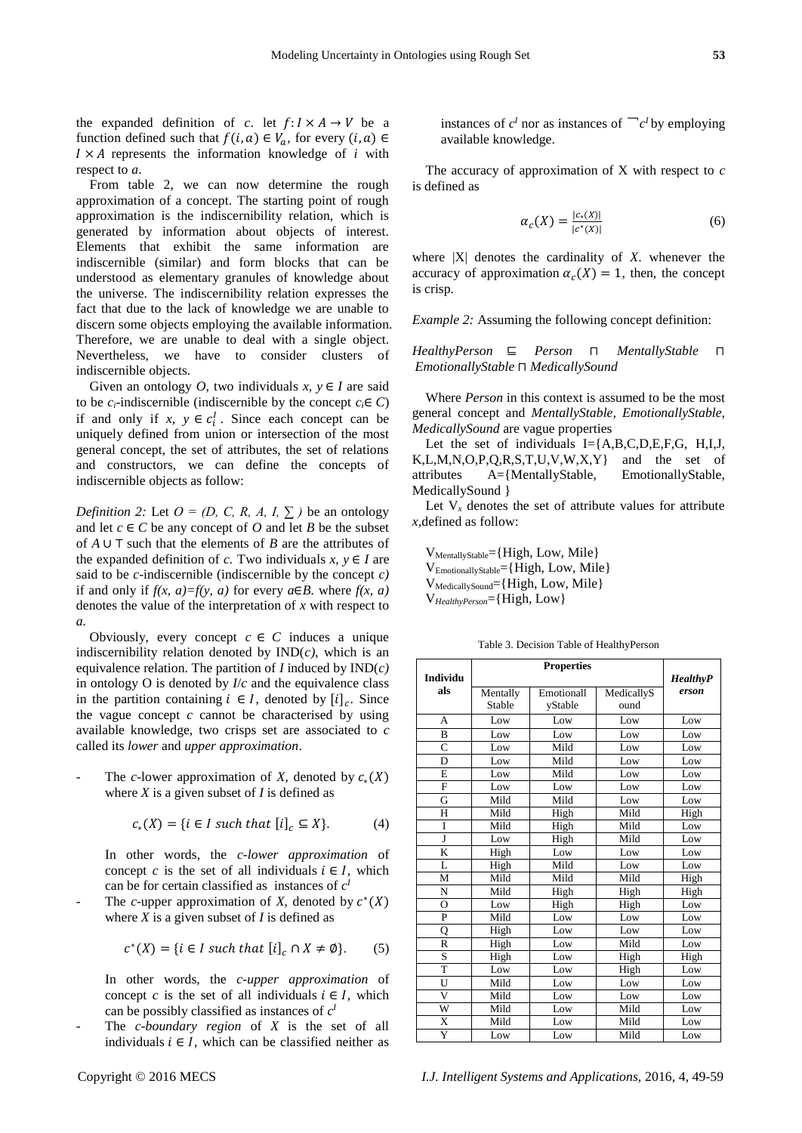the expanded definition of *c*. let  $f: I \times A \rightarrow V$  be a function defined such that  $f(i, a) \in V_a$ , for every  $(i, a) \in$  $I \times A$  represents the information knowledge of *i* with respect to *a*.

From table 2, we can now determine the rough approximation of a concept. The starting point of rough approximation is the indiscernibility relation, which is generated by information about objects of interest. Elements that exhibit the same information are indiscernible (similar) and form blocks that can be understood as elementary granules of knowledge about the universe. The indiscernibility relation expresses the fact that due to the lack of knowledge we are unable to discern some objects employing the available information. Therefore, we are unable to deal with a single object. Nevertheless, we have to consider clusters of indiscernible objects.

Given an ontology *O*, two individuals  $x, y \in I$  are said to be *c<sub>i</sub>*-indiscernible (indiscernible by the concept  $c_i \in C$ ) if and only if  $x, y \in c_i^I$ . Since each concept can be uniquely defined from union or intersection of the most general concept, the set of attributes, the set of relations and constructors, we can define the concepts of indiscernible objects as follow:

*Definition 2:* Let  $O = (D, C, R, A, I, \sum)$  be an ontology and let  $c \in C$  be any concept of *O* and let *B* be the subset of *A* ∪ ⊤ such that the elements of *B* are the attributes of the expanded definition of *c*. Two individuals  $x, y \in I$  are said to be *c*-indiscernible (indiscernible by the concept *c)*  if and only if  $f(x, a)=f(y, a)$  for every  $a \in B$ . where  $f(x, a)$ denotes the value of the interpretation of *x* with respect to *a.*

Obviously, every concept  $c \in C$  induces a unique indiscernibility relation denoted by  $IND(c)$ , which is an equivalence relation. The partition of *I* induced by IND(*c)* in ontology O is denoted by *I*/*c* and the equivalence class in the partition containing  $i \in I$ , denoted by  $[i]_c$ . Since the vague concept *c* cannot be characterised by using available knowledge, two crisps set are associated to *c* called its *lower* and *upper approximation*.

The *c*-lower approximation of *X*, denoted by  $c_*(X)$ where  $X$  is a given subset of  $I$  is defined as

$$
c_*(X) = \{ i \in I \text{ such that } [i]_c \subseteq X \}. \tag{4}
$$

In other words, the *c-lower approximation* of concept *c* is the set of all individuals  $i \in I$ , which can be for certain classified as instances of  $c<sup>1</sup>$ 

- The *c*-upper approximation of *X*, denoted by  $c^*(X)$ where *X* is a given subset of *I* is defined as

$$
c^*(X) = \{ i \in I \text{ such that } [i]_c \cap X \neq \emptyset \}. \tag{5}
$$

In other words, the *c-upper approximation* of concept *c* is the set of all individuals  $i \in I$ , which can be possibly classified as instances of  $c<sup>1</sup>$ 

The *c*-boundary region of X is the set of all individuals  $i \in I$ , which can be classified neither as instances of  $c^I$  nor as instances of  $\int c^I$  by employing available knowledge.

The accuracy of approximation of X with respect to *c* is defined as

$$
\alpha_c(X) = \frac{|c_*(X)|}{|c^*(X)|} \tag{6}
$$

where  $|X|$  denotes the cardinality of  $X$ . whenever the accuracy of approximation  $\alpha_c(X) = 1$ , then, the concept is crisp.

*Example 2:* Assuming the following concept definition:

*HealthyPerson* ⊑ *Person* ⊓ *MentallyStable* ⊓ *EmotionallyStable* ⊓ *MedicallySound*

Where *Person* in this context is assumed to be the most general concept and *MentallyStable, EmotionallyStable, MedicallySound* are vague properties

Let the set of individuals I={A,B,C,D,E,F,G, H,I,J, K,L,M,N,O,P,Q,R,S,T,U,V,W,X,Y} and the set of attributes A={MentallyStable, EmotionallyStable, MedicallySound }

Let  $V_x$  denotes the set of attribute values for attribute *x,*defined as follow:

V<sub>MentallyStable</sub>={High, Low, Mile} VEmotionallyStable={High, Low, Mile} V<sub>MedicallySound</sub>={High, Low, Mile} V*HealthyPerson*={High, Low}

Table 3. Decision Table of HealthyPerson

| <b>Individu</b>       |          | <b>HealthyP</b> |            |       |
|-----------------------|----------|-----------------|------------|-------|
| als                   | Mentally | Emotionall      | MedicallyS | erson |
|                       | Stable   | yStable         | ound       |       |
| A                     | Low      | Low             | Low        | Low   |
| B                     | Low      | Low             | Low        | Low   |
| $\overline{C}$        | Low      | Mild            | Low        | Low   |
| D                     | Low      | Mild            | Low        | Low   |
| E                     | Low      | Mild            | Low        | Low   |
| F                     | Low      | Low             | Low        | Low   |
| G                     | Mild     | Mild            | Low        | Low   |
| H                     | Mild     | High            | Mild       | High  |
| I                     | Mild     | High            | Mild       | Low   |
| J                     | Low      | High            | Mild       | Low   |
| K                     | High     | Low             | Low        | Low   |
| L                     | High     | Mild            | Low        | Low   |
| М                     | Mild     | Mild            | Mild       | High  |
| N                     | Mild     | High            | High       | High  |
| О                     | Low      | High            | High       | Low   |
| P                     | Mild     | Low             | Low        | Low   |
| Q                     | High     | Low             | Low        | Low   |
| $\mathbb{R}$          | High     | Low             | Mild       | Low   |
| S                     | High     | Low             | High       | High  |
| T                     | Low      | Low             | High       | Low   |
| Ū                     | Mild     | Low             | Low        | Low   |
| V                     | Mild     | Low             | Low        | Low   |
| W                     | Mild     | Low             | Mild       | Low   |
| $\overline{\text{X}}$ | Mild     | Low             | Mild       | Low   |
| Y                     | Low      | Low             | Mild       | Low   |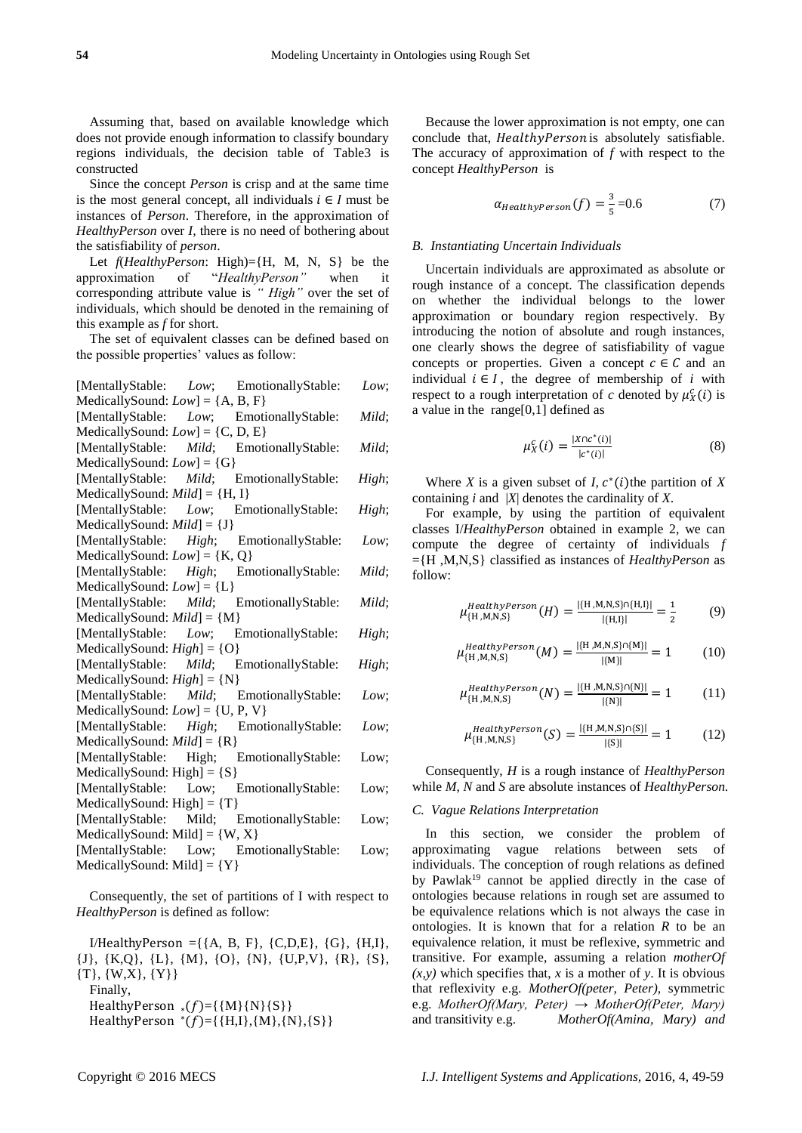Assuming that, based on available knowledge which does not provide enough information to classify boundary regions individuals, the decision table of Table3 is constructed

Since the concept *Person* is crisp and at the same time is the most general concept, all individuals  $i \in I$  must be instances of *Person*. Therefore, in the approximation of *HealthyPerson* over *I,* there is no need of bothering about the satisfiability of *person*.

Let *f*(*HealthyPerson*: High)={H, M, N, S} be the approximation of "*HealthyPerson"* when it corresponding attribute value is *" High"* over the set of individuals, which should be denoted in the remaining of this example as *f* for short.

The set of equivalent classes can be defined based on the possible properties' values as follow:

|                                     | [MentallyStable: <i>Low</i> ; EmotionallyStable: | Low;  |
|-------------------------------------|--------------------------------------------------|-------|
| MedicallySound: $Low$ ] = {A, B, F} |                                                  |       |
|                                     | [MentallyStable: Low; EmotionallyStable:         | Mild; |
| MedicallySound: $Low$ ] = {C, D, E} |                                                  |       |
|                                     | [MentallyStable: Mild; EmotionallyStable:        | Mild; |
| MedicallySound: $Low$ ] = {G}       |                                                  |       |
|                                     | [MentallyStable: Mild; EmotionallyStable:        | High; |
| MedicallySound: $Mid$ ] = {H, I}    |                                                  |       |
|                                     | [MentallyStable: Low; EmotionallyStable:         | High; |
| MedicallySound: $Mid$ ] = {J}       |                                                  |       |
|                                     | [MentallyStable: High; EmotionallyStable:        | Low:  |
| MedicallySound: $Low$ ] = {K, Q}    |                                                  |       |
|                                     | [MentallyStable: High; EmotionallyStable:        | Mild: |
| MedicallySound: $Low$ ] = {L}       |                                                  |       |
|                                     | [MentallyStable: Mild; EmotionallyStable:        | Mild; |
| MedicallySound: $Mid$ ] = {M}       |                                                  |       |
|                                     | [MentallyStable: Low; EmotionallyStable:         | High; |
| MedicallySound: $High$ = {O}        |                                                  |       |
|                                     | [MentallyStable: Mild; EmotionallyStable:        | High; |
| MedicallySound: $High] = \{N\}$     |                                                  |       |
|                                     | [MentallyStable: Mild; EmotionallyStable:        | Low;  |
| MedicallySound: $Low$ ] = {U, P, V} |                                                  |       |
|                                     | [MentallyStable: High; EmotionallyStable:        | Low:  |
| MedicallySound: $Mid$ ] = {R}       |                                                  |       |
|                                     | [MentallyStable: High; EmotionallyStable:        | Low;  |
| MedicallySound: High $] = \{S\}$    |                                                  |       |
|                                     | [MentallyStable: Low; EmotionallyStable:         | Low;  |
| MedicallySound: $High] = \{T\}$     |                                                  |       |
|                                     | [MentallyStable: Mild; EmotionallyStable:        | Low;  |
| MedicallySound: Mild] = $\{W, X\}$  |                                                  |       |
|                                     | [MentallyStable: Low; EmotionallyStable:         | Low:  |
| $MedicallySound: Mid] = {Y}$        |                                                  |       |
|                                     |                                                  |       |

Consequently, the set of partitions of I with respect to *HealthyPerson* is defined as follow:

 $I/HealthyPerson = \{\{A, B, F\}, \{C, D, E\}, \{G\}, \{H, I\},\$ {J}, {K,Q}, {L}, {M}, {O}, {N}, {U,P,V}, {R}, {S},  $\{T\}, \{W,X\}, \{Y\}\}\$ 

Finally,

HealthyPerson  $_{*(}f)=\{\{M\}\{N\}\{S\}\}\$ 

 $HealthyPerson * (f) = { H,I }, { M }, { N }, { S }$ 

Because the lower approximation is not empty, one can conclude that, HealthyPerson is absolutely satisfiable. The accuracy of approximation of *f* with respect to the concept *HealthyPerson* is

$$
\alpha_{HealthyPerson}(f) = \frac{3}{5} = 0.6\tag{7}
$$

#### *B. Instantiating Uncertain Individuals*

Uncertain individuals are approximated as absolute or rough instance of a concept. The classification depends on whether the individual belongs to the lower approximation or boundary region respectively. By introducing the notion of absolute and rough instances, one clearly shows the degree of satisfiability of vague concepts or properties. Given a concept  $c \in \mathcal{C}$  and an individual  $i \in I$ , the degree of membership of *i* with respect to a rough interpretation of *c* denoted by  $\mu_X^c(i)$  is a value in the range $[0,1]$  defined as

$$
\mu_X^c(i) = \frac{|X \cap c^*(i)|}{|c^*(i)|} \tag{8}
$$

Where *X* is a given subset of *I*,  $c^*(i)$  the partition of *X* containing *i* and |*X*| denotes the cardinality of *X*.

For example, by using the partition of equivalent classes I/*HealthyPerson* obtained in example 2, we can compute the degree of certainty of individuals *f* ={H ,M,N,S} classified as instances of *HealthyPerson* as follow:

$$
\mu_{\{H,M,N,S\}}^{HealthyPerson}(H) = \frac{|\{H,M,N,S\} \cap \{H,I\}|}{|\{H,I\}|} = \frac{1}{2}
$$
(9)

$$
\mu_{\{H,M,N,S\}}^{HealthyPerson}(M) = \frac{|\{H,M,N,S\} \cap \{M\}|}{|\{M\}|} = 1
$$
 (10)

$$
\mu_{\{H,M,N,S\}}^{HealthyPerson}(N) = \frac{|\{H,M,N,S\} \cap \{N\}|}{|\{N\}|} = 1
$$
 (11)

$$
\mu_{\text{H,M,N,S}}^{\text{HealthyPerson}}(S) = \frac{|\{\text{H,M,N,S}\}\cap\{S\}|}{|\{\text{S}\}|} = 1 \tag{12}
$$

Consequently, *H* is a rough instance of *HealthyPerson* while *M, N* and *S* are absolute instances of *HealthyPerson.*

## *C. Vague Relations Interpretation*

In this section, we consider the problem of approximating vague relations between sets of individuals. The conception of rough relations as defined by Pawlak<sup>19</sup> cannot be applied directly in the case of ontologies because relations in rough set are assumed to be equivalence relations which is not always the case in ontologies. It is known that for a relation *R* to be an equivalence relation, it must be reflexive, symmetric and transitive. For example, assuming a relation *motherOf*   $(x, y)$  which specifies that, *x* is a mother of *y*. It is obvious that reflexivity e.g. *MotherOf(peter, Peter),* symmetric e.g. *MotherOf(Mary, Peter) → MotherOf(Peter, Mary)*  and transitivity e.g. *MotherOf(Amina, Mary) and*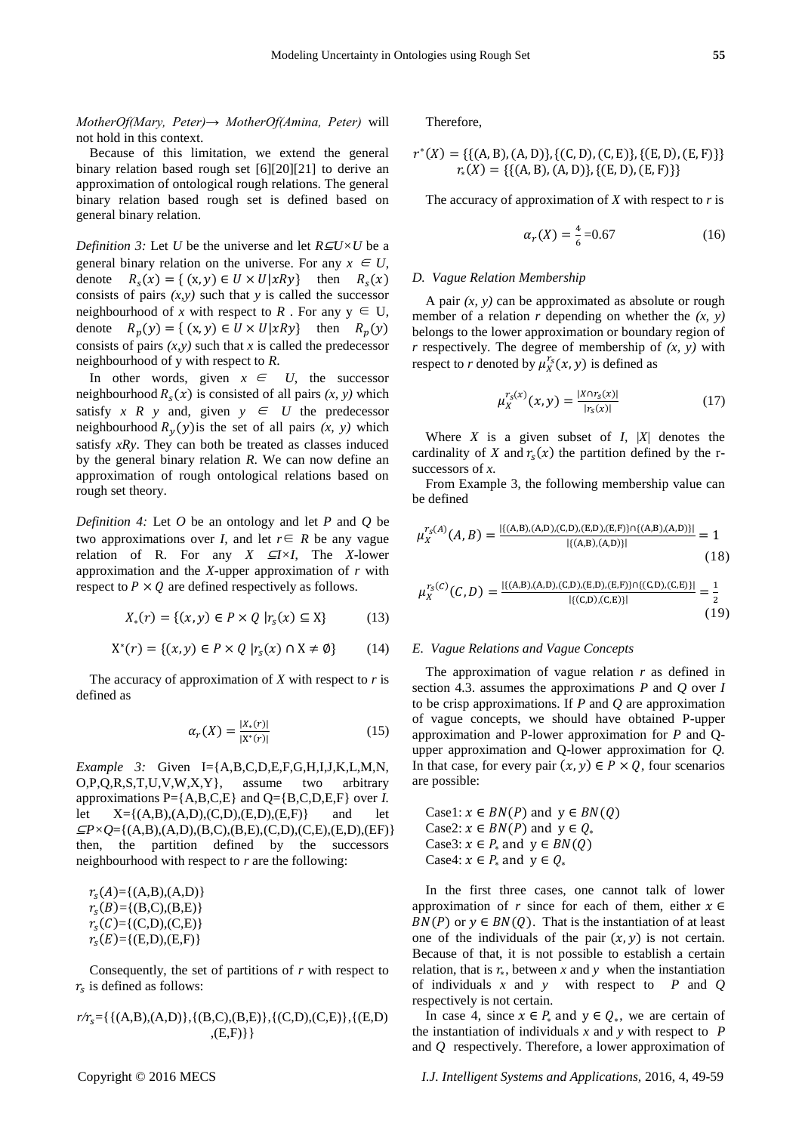*MotherOf(Mary, Peter)→ MotherOf(Amina, Peter)* will not hold in this context.

Because of this limitation, we extend the general binary relation based rough set [6][20][21] to derive an approximation of ontological rough relations. The general binary relation based rough set is defined based on general binary relation.

*Definition 3:* Let *U* be the universe and let *R⊆U×U* be a general binary relation on the universe. For any  $x \in U$ , denote  $(x) = \{ (x, y) \in U \times U | xRy \}$  then  $R_s(x)$ consists of pairs *(x,y)* such that *y* is called the successor neighbourhood of *x* with respect to *R*. For any  $y \in U$ , denote  $R_p(y) = \{ (x, y) \in U \times U | xRy \}$  then  $R_p(y)$ consists of pairs  $(x, y)$  such that  $x$  is called the predecessor neighbourhood of y with respect to *R*.

In other words, given  $x \in U$ , the successor neighbourhood  $R_s(x)$  is consisted of all pairs  $(x, y)$  which satisfy *x R* y and, given  $y \in U$  the predecessor neighbourhood  $R_y(y)$  is the set of all pairs  $(x, y)$  which satisfy *xRy*. They can both be treated as classes induced by the general binary relation *R*. We can now define an approximation of rough ontological relations based on rough set theory.

*Definition 4:* Let *O* be an ontology and let *P* and *Q* be two approximations over *I*, and let  $r \in R$  be any vague relation of R. For any  $X \subseteq I \times I$ , The *X*-lower approximation and the *X-*upper approximation of *r* with respect to  $P \times Q$  are defined respectively as follows.

$$
X_*(r) = \{(x, y) \in P \times Q \mid r_s(x) \subseteq X\}
$$
 (13)

$$
X^*(r) = \{(x, y) \in P \times Q \mid r_s(x) \cap X \neq \emptyset\}
$$
 (14)

The accuracy of approximation of *X* with respect to *r* is defined as

$$
\alpha_r(X) = \frac{|X_*(r)|}{|X^*(r)|} \tag{15}
$$

*Example 3:* Given I={A,B,C,D,E,F,G,H,I,J,K,L,M,N, O,P,Q,R,S,T,U,V,W,X,Y}, assume two arbitrary approximations  $P = \{A, B, C, E\}$  and  $Q = \{B, C, D, E, F\}$  over *I*. let  $X = \{(A,B), (A,D), (C,D), (E,D), (E,F)\}$  and let  $\subseteq P \times Q = \{(A,B), (A,D), (B,C), (B,E), (C,D), (C,E), (E,D), (EF)\}\$ then, the partition defined by the successors neighbourhood with respect to *r* are the following:

 $r_s(A) = \{(A,B),(A,D)\}$  $r_s(B)=\{(B,C),(B,E)\}\;$  $r_s(C) = \{(C,D),(C,E)\}\;$  $r_s(E)=\{(E,D),(E,F)\}\;$ 

Consequently, the set of partitions of *r* with respect to  $r<sub>s</sub>$  is defined as follows:

$$
r/r_s = \{ \{ (A,B),(A,D) \}, \{ (B,C),(B,E) \}, \{ (C,D),(C,E) \}, \{ (E,D) \}, \{ (E,D) \}, \{ (B,F) \} \}
$$

Therefore,

$$
r^*(X) = \{ \{ (A, B), (A, D) \}, \{ (C, D), (C, E) \}, \{ (E, D), (E, F) \} \} r_*(X) = \{ \{ (A, B), (A, D) \}, \{ (E, D), (E, F) \} \}
$$

The accuracy of approximation of *X* with respect to *r* is

$$
\alpha_r(X) = \frac{4}{6} = 0.67\tag{16}
$$

#### *D. Vague Relation Membership*

A pair  $(x, y)$  can be approximated as absolute or rough member of a relation  $r$  depending on whether the  $(x, y)$ belongs to the lower approximation or boundary region of *r* respectively. The degree of membership of *(x, y)* with respect to *r* denoted by  $\mu_X^{r_s}(x, y)$  is defined as

$$
\mu_X^{r_S(x)}(x, y) = \frac{|X \cap r_S(x)|}{|r_S(x)|} \tag{17}
$$

Where *X* is a given subset of *I,* |*X*| denotes the cardinality of *X* and  $r_s(x)$  the partition defined by the rsuccessors of *x.*

From Example 3, the following membership value can be defined

$$
\mu_X^{r_S(A)}(A,B) = \frac{\{((A,B),(A,D),(C,D),(E,D),(E,F)\} \cap \{(A,B),(A,D)\}]}{|\{(A,B),(A,D)\}|\} } = 1
$$
\n(18)

$$
\mu_X^{r_S(C)}(C,D) = \frac{|\{(A,B),(A,D),(C,D),(E,D),(E,F)\} \cap \{(C,D),(C,E)\}|}{|\{(C,D),(C,E)\}|} = \frac{1}{2}
$$
\n(19)

#### *E. Vague Relations and Vague Concepts*

The approximation of vague relation *r* as defined in section 4.3. assumes the approximations *P* and *Q* over *I* to be crisp approximations. If *P* and *Q* are approximation of vague concepts, we should have obtained P-upper approximation and P-lower approximation for *P* and Qupper approximation and Q-lower approximation for *Q.*  In that case, for every pair  $(x, y) \in P \times Q$ , four scenarios are possible:

Case1:  $x \in BN(P)$  and  $y \in BN(Q)$ Case2:  $x \in BN(P)$  and  $y \in Q_*$ Case3:  $x \in P_*$  and  $y \in BN(Q)$ Case4:  $x \in P_*$  and  $y \in Q_*$ 

In the first three cases, one cannot talk of lower approximation of *r* since for each of them, either  $x \in$  $BN(P)$  or  $y \in BN(Q)$ . That is the instantiation of at least one of the individuals of the pair  $(x, y)$  is not certain. Because of that, it is not possible to establish a certain relation, that is  $r_{\ast}$ , between  $x$  and  $y$  when the instantiation of individuals *x* and *y* with respect to *P* and *Q*  respectively is not certain.

In case 4, since  $x \in P_*$  and  $y \in Q_*$ , we are certain of the instantiation of individuals *x* and *y* with respect to *P* and *Q* respectively. Therefore, a lower approximation of

Copyright © 2016 MECS *I.J. Intelligent Systems and Applications,* 2016, 4, 49-59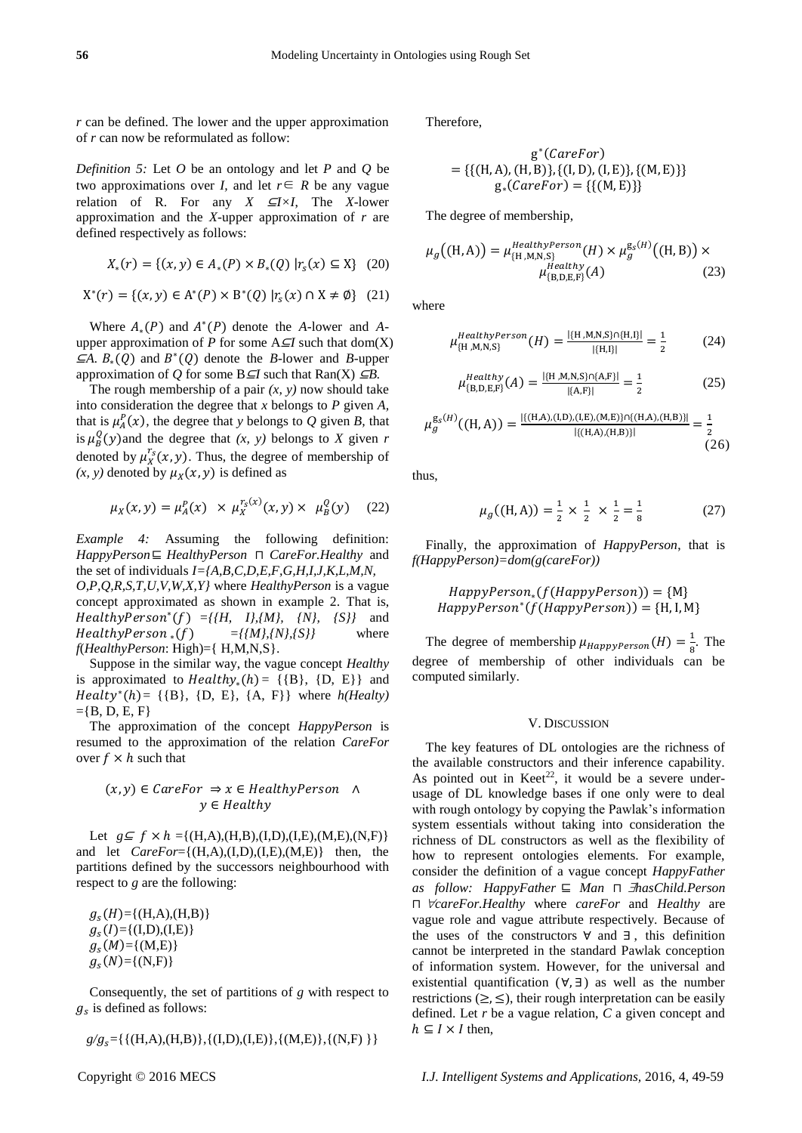*r* can be defined. The lower and the upper approximation of *r* can now be reformulated as follow:

*Definition 5:* Let *O* be an ontology and let *P* and *Q* be two approximations over *I*, and let  $r \in R$  be any vague relation of R. For any *X* ⊆*I×I*, The *X*-lower approximation and the *X-*upper approximation of *r* are defined respectively as follows:

$$
X_*(r) = \{(x, y) \in A_*(P) \times B_*(Q) | r_s(x) \subseteq X\}
$$
 (20)

$$
X^*(r) = \{(x, y) \in A^*(P) \times B^*(Q) | r_s(x) \cap X \neq \emptyset \} (21)
$$

Where  $A_*(P)$  and  $A^*(P)$  denote the *A*-lower and *A*upper approximation of *P* for some A⊆*I* such that dom(X)  $\subseteq A$ .  $B_*(Q)$  and  $B^*(Q)$  denote the *B*-lower and *B*-upper approximation of *Q* for some  $B \subseteq I$  such that  $\text{Ran}(X) \subseteq B$ .

The rough membership of a pair  $(x, y)$  now should take into consideration the degree that *x* belongs to *P* given *A,*  that is  $\mu_A^P(x)$ , the degree that *y* belongs to *Q* given *B*, that is  $\mu_B^Q(y)$  and the degree that *(x, y)* belongs to *X* given *r* denoted by  $\mu_X^{r_s}(x, y)$ . Thus, the degree of membership of  $(x, y)$  denoted by  $\mu_X(x, y)$  is defined as

$$
\mu_X(x, y) = \mu_A^P(x) \times \mu_X^{r_S(x)}(x, y) \times \mu_B^Q(y)
$$
 (22)

*Example 4:* Assuming the following definition: *HappyPerson*⊑ *HealthyPerson* ⊓ *CareFor.Healthy* and the set of individuals *I={A,B,C,D,E,F,G,H,I,J,K,L,M,N, O,P,Q,R,S,T,U,V,W,X,Y}* where *HealthyPerson* is a vague concept approximated as shown in example 2. That is,  $HealthyPerson^*(f) = ({H, I}, {M}, {N}, {S})$  and  $HealthyPerson_*(f) = {\{M\}, {N\}, {S\}}$  where *f*(*HealthyPerson*: High)={ H,M,N,S}.

Suppose in the similar way, the vague concept *Healthy* is approximated to  $Healthy_*(h) = \{\{B\}, \{D, E\}\}\$ and  $Healty<sup>*</sup>(h) = \{ {B}, {D, E}, {A, F} \}$  where  $h(Healty)$  $=$ {B, D, E, F}

The approximation of the concept *HappyPerson* is resumed to the approximation of the relation *CareFor* over  $f \times h$  such that

## $(x, y) \in \text{CareFor } \Rightarrow x \in \text{HealthyPerson } \wedge$  $v \in Healthv$

Let  $g \subseteq f \times h = \{(H,A),(H,B),(I,D),(I,E),(M,E),(N,F)\}\$ and let *CareFor*={(H,A),(I,D),(I,E),(M,E)} then, the partitions defined by the successors neighbourhood with respect to *g* are the following:

 $g_s(H)=\{(H,A),(H,B)\}\$  $g_s(I)=\{(I,D),(I,E)\}\$  $g_s(M)=\{(M,E)\}\$  $g_{s}(N)=\{(N,F)\}$ 

Consequently, the set of partitions of *g* with respect to  $g_s$  is defined as follows:

$$
g/g_s = \{ \{ (H,A),(H,B) \}, \{ (I,D),(I,E) \}, \{ (M,E) \}, \{ (N,F) \} \}
$$

Therefore,

$$
g^*(CareFor) = \{ \{ (H, A), (H, B) \}, \{ (I, D), (I, E) \}, \{ (M, E) \} \}
$$

$$
g_*(CareFor) = \{ \{ (M, E) \} \}
$$

The degree of membership,

$$
\mu_g((H, A)) = \mu_{\{H, M, N, S\}}^{HealthyPerson}(H) \times \mu_g^{g_s(H)}((H, B)) \times \mu_{\{B, D, E, F\}}^{Healthy}(A)
$$
\n(23)

where

$$
\mu_{\{H,M,N,S\}}^{HealthyPerson}(H) = \frac{|\{H,M,N,S\} \cap \{H,I\}|}{|\{H,I\}|} = \frac{1}{2}
$$
(24)

$$
\mu_{\text{[B,D,E,F]}}^{\text{Healthy}}(A) = \frac{|\{\text{H}, \text{M}, \text{N}, \text{S}\} \cap \{\text{A}, \text{F}\}|}{|\{\text{A}, \text{F}\}|} = \frac{1}{2}
$$
(25)

$$
\mu_g^{\mathsf{g}_5(H)}((\mathsf{H}, \mathsf{A})) = \frac{|\{(\mathsf{H}, \mathsf{A}), (\mathsf{I}, \mathsf{D}), (\mathsf{I}, \mathsf{E}), (\mathsf{M}, \mathsf{E})\} \cap \{(\mathsf{H}, \mathsf{A}), (\mathsf{H}, \mathsf{B})\}|}{|\{(\mathsf{H}, \mathsf{A}), (\mathsf{H}, \mathsf{B})\}|} = \frac{1}{2}
$$
(26)

thus,

$$
\mu_g((H, A)) = \frac{1}{2} \times \frac{1}{2} \times \frac{1}{2} = \frac{1}{8}
$$
 (27)

Finally, the approximation of *HappyPerson*, that is *f(HappyPerson)=dom(g(careFor))*

∗(()) = {M} <sup>∗</sup> (()) = {H, I, M}

The degree of membership  $\mu_{HappyPerson}(H) = \frac{1}{8}$  $\frac{1}{8}$ . The degree of membership of other individuals can be computed similarly.

#### V. DISCUSSION

The key features of DL ontologies are the richness of the available constructors and their inference capability. As pointed out in  $Keet^{22}$ , it would be a severe underusage of DL knowledge bases if one only were to deal with rough ontology by copying the Pawlak's information system essentials without taking into consideration the richness of DL constructors as well as the flexibility of how to represent ontologies elements. For example, consider the definition of a vague concept *HappyFather as follow: HappyFather* ⊑ *Man* ⊓ *hasChild.Person*  ⊓ *careFor.Healthy* where *careFor* and *Healthy* are vague role and vague attribute respectively. Because of the uses of the constructors ∀ and ∃ , this definition cannot be interpreted in the standard Pawlak conception of information system. However, for the universal and existential quantification  $(\forall, \exists)$  as well as the number restrictions  $(\geq, \leq)$ , their rough interpretation can be easily defined. Let *r* be a vague relation, *C* a given concept and  $h \subseteq I \times I$  then,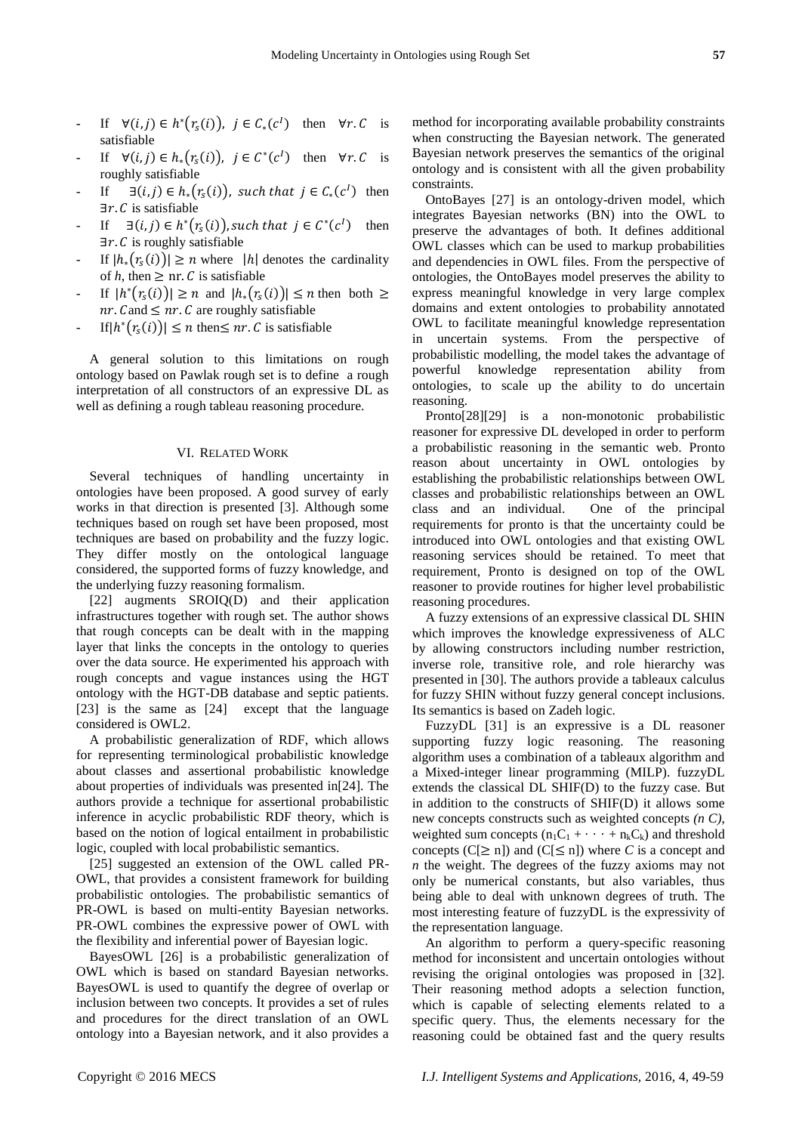- If  $\forall (i, j) \in h^*(r_s(i))$ ,  $j \in C_*(c^1)$  then  $\forall r. C$  is satisfiable
- If  $\forall (i,j) \in h_*(r_s(i))$ ,  $j \in C^*(c^1)$  then  $\forall r. C$  is roughly satisfiable
- If  $\exists (i,j) \in h_*(r_s(i))$ , such that  $j \in C_*(c^1)$  then  $\exists r. C$  is satisfiable
- If  $\exists (i, j) \in h^*(r_s(i))$ , such that  $j \in C^*(c^1)$  then  $\exists r. C$  is roughly satisfiable
- If  $|h_*(r_s(i))| \ge n$  where  $|h|$  denotes the cardinality of *h*, then  $\geq$  nr. *C* is satisfiable
- If  $|h^*(r_s(i))| \ge n$  and  $|h^*(r_s(i))| \le n$  then both  $\ge$  $nr$ . C and  $\leq nr$ . C are roughly satisfiable
- If  $|h^*(r_s(i))| \leq n$  then  $\leq nr$ . C is satisfiable

A general solution to this limitations on rough ontology based on Pawlak rough set is to define a rough interpretation of all constructors of an expressive DL as well as defining a rough tableau reasoning procedure.

#### VI. RELATED WORK

Several techniques of handling uncertainty in ontologies have been proposed. A good survey of early works in that direction is presented [3]. Although some techniques based on rough set have been proposed, most techniques are based on probability and the fuzzy logic. They differ mostly on the ontological language considered, the supported forms of fuzzy knowledge, and the underlying fuzzy reasoning formalism.

[22] augments SROIQ(D) and their application infrastructures together with rough set. The author shows that rough concepts can be dealt with in the mapping layer that links the concepts in the ontology to queries over the data source. He experimented his approach with rough concepts and vague instances using the HGT ontology with the HGT-DB database and septic patients. [23] is the same as [24] except that the language considered is OWL2.

A probabilistic generalization of RDF, which allows for representing terminological probabilistic knowledge about classes and assertional probabilistic knowledge about properties of individuals was presented in[24]. The authors provide a technique for assertional probabilistic inference in acyclic probabilistic RDF theory, which is based on the notion of logical entailment in probabilistic logic, coupled with local probabilistic semantics.

[25] suggested an extension of the OWL called PR-OWL, that provides a consistent framework for building probabilistic ontologies. The probabilistic semantics of PR-OWL is based on multi-entity Bayesian networks. PR-OWL combines the expressive power of OWL with the flexibility and inferential power of Bayesian logic.

BayesOWL [26] is a probabilistic generalization of OWL which is based on standard Bayesian networks. BayesOWL is used to quantify the degree of overlap or inclusion between two concepts. It provides a set of rules and procedures for the direct translation of an OWL ontology into a Bayesian network, and it also provides a

method for incorporating available probability constraints when constructing the Bayesian network. The generated Bayesian network preserves the semantics of the original ontology and is consistent with all the given probability constraints.

OntoBayes [27] is an ontology-driven model, which integrates Bayesian networks (BN) into the OWL to preserve the advantages of both. It defines additional OWL classes which can be used to markup probabilities and dependencies in OWL files. From the perspective of ontologies, the OntoBayes model preserves the ability to express meaningful knowledge in very large complex domains and extent ontologies to probability annotated OWL to facilitate meaningful knowledge representation in uncertain systems. From the perspective of probabilistic modelling, the model takes the advantage of powerful knowledge representation ability from ontologies, to scale up the ability to do uncertain reasoning.

Pronto[28][29] is a non-monotonic probabilistic reasoner for expressive DL developed in order to perform a probabilistic reasoning in the semantic web. Pronto reason about uncertainty in OWL ontologies by establishing the probabilistic relationships between OWL classes and probabilistic relationships between an OWL class and an individual. One of the principal requirements for pronto is that the uncertainty could be introduced into OWL ontologies and that existing OWL reasoning services should be retained. To meet that requirement, Pronto is designed on top of the OWL reasoner to provide routines for higher level probabilistic reasoning procedures.

A fuzzy extensions of an expressive classical DL SHIN which improves the knowledge expressiveness of ALC by allowing constructors including number restriction, inverse role, transitive role, and role hierarchy was presented in [30]. The authors provide a tableaux calculus for fuzzy SHIN without fuzzy general concept inclusions. Its semantics is based on Zadeh logic.

FuzzyDL [31] is an expressive is a DL reasoner supporting fuzzy logic reasoning. The reasoning algorithm uses a combination of a tableaux algorithm and a Mixed-integer linear programming (MILP). fuzzyDL extends the classical DL SHIF(D) to the fuzzy case. But in addition to the constructs of SHIF(D) it allows some new concepts constructs such as weighted concepts *(n C)*, weighted sum concepts  $(n_1C_1 + \cdots + n_kC_k)$  and threshold concepts  $(C[\geq n])$  and  $(C[\leq n])$  where *C* is a concept and *n* the weight. The degrees of the fuzzy axioms may not only be numerical constants, but also variables, thus being able to deal with unknown degrees of truth. The most interesting feature of fuzzyDL is the expressivity of the representation language.

An algorithm to perform a query-specific reasoning method for inconsistent and uncertain ontologies without revising the original ontologies was proposed in [32]. Their reasoning method adopts a selection function, which is capable of selecting elements related to a specific query. Thus, the elements necessary for the reasoning could be obtained fast and the query results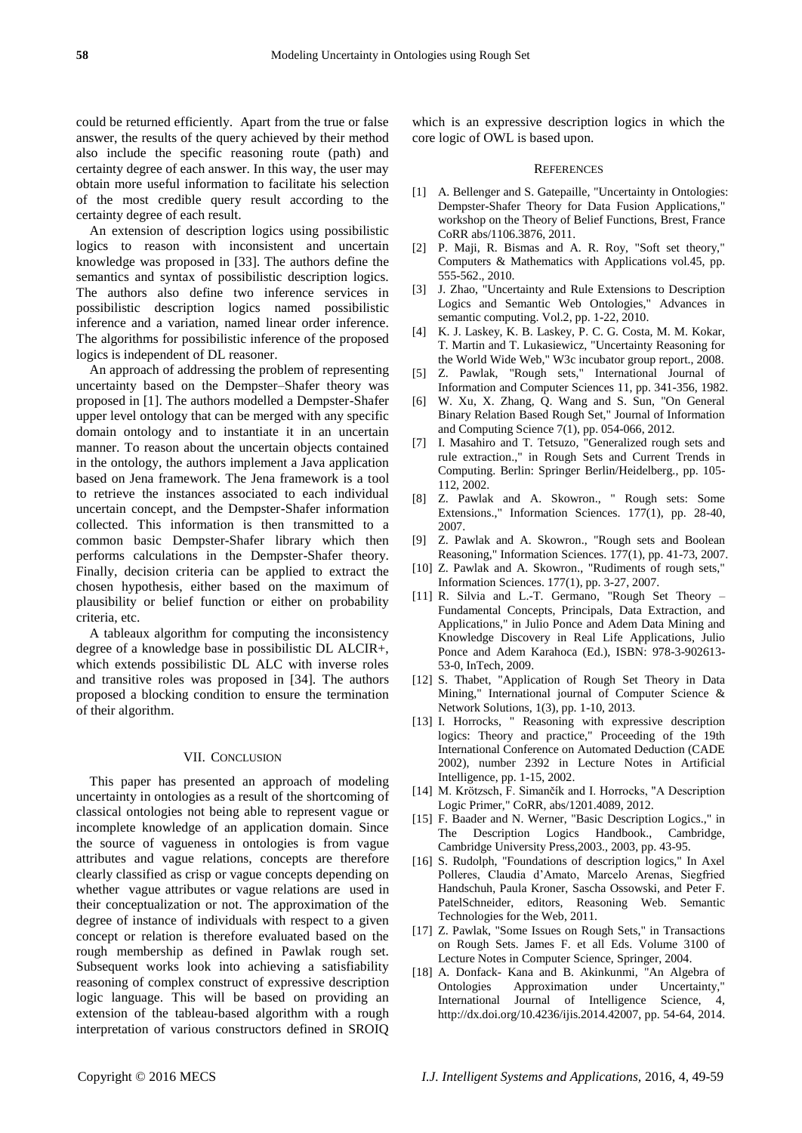could be returned efficiently. Apart from the true or false answer, the results of the query achieved by their method also include the specific reasoning route (path) and certainty degree of each answer. In this way, the user may obtain more useful information to facilitate his selection of the most credible query result according to the certainty degree of each result.

An extension of description logics using possibilistic logics to reason with inconsistent and uncertain knowledge was proposed in [33]. The authors define the semantics and syntax of possibilistic description logics. The authors also define two inference services in possibilistic description logics named possibilistic inference and a variation, named linear order inference. The algorithms for possibilistic inference of the proposed logics is independent of DL reasoner.

An approach of addressing the problem of representing uncertainty based on the Dempster–Shafer theory was proposed in [1]. The authors modelled a Dempster-Shafer upper level ontology that can be merged with any specific domain ontology and to instantiate it in an uncertain manner. To reason about the uncertain objects contained in the ontology, the authors implement a Java application based on Jena framework. The Jena framework is a tool to retrieve the instances associated to each individual uncertain concept, and the Dempster-Shafer information collected. This information is then transmitted to a common basic Dempster-Shafer library which then performs calculations in the Dempster-Shafer theory. Finally, decision criteria can be applied to extract the chosen hypothesis, either based on the maximum of plausibility or belief function or either on probability criteria, etc.

A tableaux algorithm for computing the inconsistency degree of a knowledge base in possibilistic DL ALCIR+, which extends possibilistic DL ALC with inverse roles and transitive roles was proposed in [34]. The authors proposed a blocking condition to ensure the termination of their algorithm.

### VII. CONCLUSION

This paper has presented an approach of modeling uncertainty in ontologies as a result of the shortcoming of classical ontologies not being able to represent vague or incomplete knowledge of an application domain. Since the source of vagueness in ontologies is from vague attributes and vague relations, concepts are therefore clearly classified as crisp or vague concepts depending on whether vague attributes or vague relations are used in their conceptualization or not. The approximation of the degree of instance of individuals with respect to a given concept or relation is therefore evaluated based on the rough membership as defined in Pawlak rough set. Subsequent works look into achieving a satisfiability reasoning of complex construct of expressive description logic language. This will be based on providing an extension of the tableau-based algorithm with a rough interpretation of various constructors defined in SROIQ

which is an expressive description logics in which the core logic of OWL is based upon.

#### **REFERENCES**

- [1] A. Bellenger and S. Gatepaille, "Uncertainty in Ontologies: Dempster-Shafer Theory for Data Fusion Applications," workshop on the Theory of Belief Functions, Brest, France CoRR abs/1106.3876, 2011.
- [2] P. Maji, R. Bismas and A. R. Roy, "Soft set theory," Computers & Mathematics with Applications vol.45, pp. 555-562., 2010.
- [3] J. Zhao, "Uncertainty and Rule Extensions to Description Logics and Semantic Web Ontologies," Advances in semantic computing. Vol.2, pp. 1-22, 2010.
- [4] K. J. Laskey, K. B. Laskey, P. C. G. Costa, M. M. Kokar, T. Martin and T. Lukasiewicz, "Uncertainty Reasoning for the World Wide Web," W3c incubator group report., 2008.
- [5] Z. Pawlak, "Rough sets," International Journal of Information and Computer Sciences 11, pp. 341-356, 1982.
- [6] W. Xu, X. Zhang, Q. Wang and S. Sun, "On General Binary Relation Based Rough Set," Journal of Information and Computing Science 7(1), pp. 054-066, 2012.
- [7] I. Masahiro and T. Tetsuzo, "Generalized rough sets and rule extraction.," in Rough Sets and Current Trends in Computing. Berlin: Springer Berlin/Heidelberg., pp. 105- 112, 2002.
- [8] Z. Pawlak and A. Skowron., " Rough sets: Some Extensions.," Information Sciences. 177(1), pp. 28-40, 2007.
- [9] Z. Pawlak and A. Skowron., "Rough sets and Boolean Reasoning," Information Sciences. 177(1), pp. 41-73, 2007.
- [10] Z. Pawlak and A. Skowron., "Rudiments of rough sets," Information Sciences. 177(1), pp. 3-27, 2007.
- [11] R. Silvia and L.-T. Germano, "Rough Set Theory Fundamental Concepts, Principals, Data Extraction, and Applications," in Julio Ponce and Adem Data Mining and Knowledge Discovery in Real Life Applications, Julio Ponce and Adem Karahoca (Ed.), ISBN: 978-3-902613- 53-0, InTech, 2009.
- [12] S. Thabet, "Application of Rough Set Theory in Data Mining," International journal of Computer Science & Network Solutions, 1(3), pp. 1-10, 2013.
- [13] I. Horrocks, " Reasoning with expressive description logics: Theory and practice," Proceeding of the 19th International Conference on Automated Deduction (CADE 2002), number 2392 in Lecture Notes in Artificial Intelligence, pp. 1-15, 2002.
- [14] M. Krötzsch, F. Simančík and I. Horrocks, "A Description Logic Primer," CoRR, abs/1201.4089, 2012.
- [15] F. Baader and N. Werner, "Basic Description Logics.," in The Description Logics Handbook., Cambridge, Cambridge University Press,2003., 2003, pp. 43-95.
- [16] S. Rudolph, "Foundations of description logics," In Axel Polleres, Claudia d'Amato, Marcelo Arenas, Siegfried Handschuh, Paula Kroner, Sascha Ossowski, and Peter F. PatelSchneider, editors, Reasoning Web. Semantic Technologies for the Web, 2011.
- [17] Z. Pawlak, "Some Issues on Rough Sets," in Transactions on Rough Sets. James F. et all Eds. Volume 3100 of Lecture Notes in Computer Science, Springer, 2004.
- [18] A. Donfack- Kana and B. Akinkunmi, "An Algebra of Ontologies Approximation under Uncertainty," International Journal of Intelligence Science, 4, http://dx.doi.org/10.4236/ijis.2014.42007, pp. 54-64, 2014.